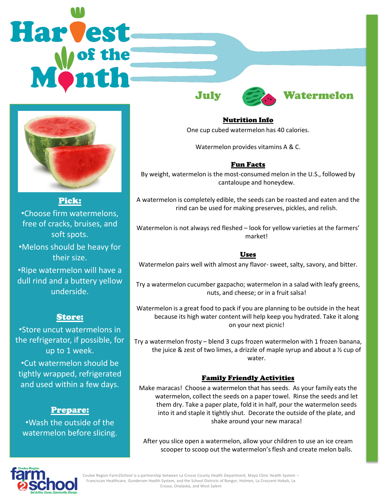# Harvest



Pick: •Choose firm watermelons, free of cracks, bruises, and soft spots. •Melons should be heavy for their size. •Ripe watermelon will have a

dull rind and a buttery yellow underside.

# Store:

•Store uncut watermelons in the refrigerator, if possible, for up to 1 week. •Cut watermelon should be tightly wrapped, refrigerated and used within a few days.

## Prepare:

•Wash the outside of the watermelon before slicing.



#### Nutrition Info

One cup cubed watermelon has 40 calories.

Watermelon provides vitamins A & C.

### Fun Facts

By weight, watermelon is the most-consumed melon in the U.S., followed by cantaloupe and honeydew.

A watermelon is completely edible, the seeds can be roasted and eaten and the rind can be used for making preserves, pickles, and relish.

Watermelon is not always red fleshed – look for yellow varieties at the farmers' market!

#### Uses

Watermelon pairs well with almost any flavor- sweet, salty, savory, and bitter.

Try a watermelon cucumber gazpacho; watermelon in a salad with leafy greens, nuts, and cheese; or in a fruit salsa!

Watermelon is a great food to pack if you are planning to be outside in the heat because its high water content will help keep you hydrated. Take it along on your next picnic!

Try a watermelon frosty – blend 3 cups frozen watermelon with 1 frozen banana, the juice & zest of two limes, a drizzle of maple syrup and about a ½ cup of water.

#### Family Friendly Activities

Make maracas! Choose a watermelon that has seeds. As your family eats the watermelon, collect the seeds on a paper towel. Rinse the seeds and let them dry. Take a paper plate, fold it in half, pour the watermelon seeds into it and staple it tightly shut. Decorate the outside of the plate, and shake around your new maraca!

After you slice open a watermelon, allow your children to use an ice cream scooper to scoop out the watermelon's flesh and create melon balls.



Coulee Region Farm2School is a partnership between La Crosse County Health Department, Mayo Clinic Health System – Franciscan Healthcare, Gundersen Health System, and the School Districts of Bangor, Holmen, La Crescent-Hokah, La Crosse, Onalaska, and West Salem